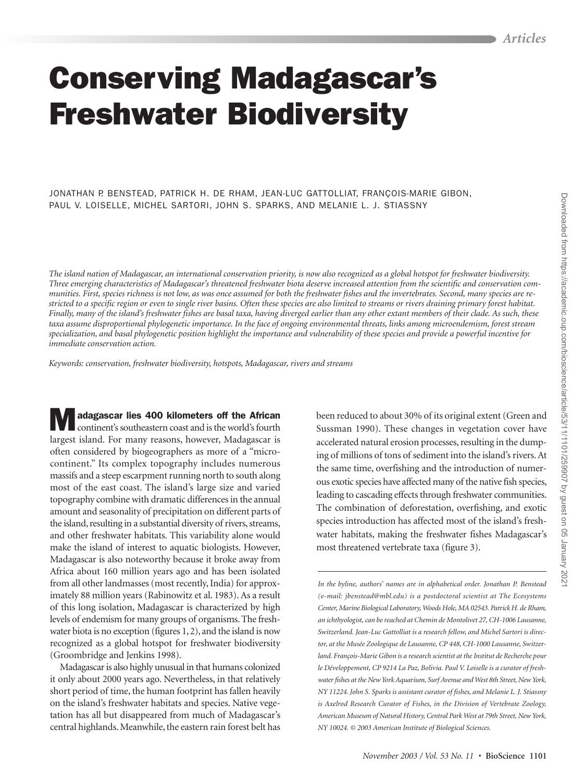# Conserving Madagascar's Freshwater Biodiversity

JONATHAN P. BENSTEAD, PATRICK H. DE RHAM, JEAN-LUC GATTOLLIAT, FRANÇOIS-MARIE GIBON, PAUL V. LOISELLE, MICHEL SARTORI, JOHN S. SPARKS, AND MELANIE L. J. STIASSNY

*The island nation of Madagascar, an international conservation priority, is now also recognized as a global hotspot for freshwater biodiversity. Three emerging characteristics of Madagascar's threatened freshwater biota deserve increased attention from the scientific and conservation communities. First, species richness is not low, as was once assumed for both the freshwater fishes and the invertebrates. Second, many species are restricted to a specific region or even to single river basins. Often these species are also limited to streams or rivers draining primary forest habitat. Finally, many of the island's freshwater fishes are basal taxa, having diverged earlier than any other extant members of their clade. As such, these taxa assume disproportional phylogenetic importance. In the face of ongoing environmental threats, links among microendemism, forest stream specialization, and basal phylogenetic position highlight the importance and vulnerability of these species and provide a powerful incentive for immediate conservation action.*

*Keywords: conservation, freshwater biodiversity, hotspots, Madagascar, rivers and streams*

adagascar lies 400 kilometers off the African continent's southeastern coast and is the world's fourth largest island. For many reasons, however, Madagascar is often considered by biogeographers as more of a "microcontinent." Its complex topography includes numerous massifs and a steep escarpment running north to south along most of the east coast. The island's large size and varied topography combine with dramatic differences in the annual amount and seasonality of precipitation on different parts of the island, resulting in a substantial diversity of rivers, streams, and other freshwater habitats. This variability alone would make the island of interest to aquatic biologists. However, Madagascar is also noteworthy because it broke away from Africa about 160 million years ago and has been isolated from all other landmasses (most recently, India) for approximately 88 million years (Rabinowitz et al. 1983). As a result of this long isolation, Madagascar is characterized by high levels of endemism for many groups of organisms. The freshwater biota is no exception (figures 1, 2), and the island is now recognized as a global hotspot for freshwater biodiversity (Groombridge and Jenkins 1998).

Madagascar is also highly unusual in that humans colonized it only about 2000 years ago. Nevertheless, in that relatively short period of time, the human footprint has fallen heavily on the island's freshwater habitats and species. Native vegetation has all but disappeared from much of Madagascar's central highlands. Meanwhile, the eastern rain forest belt has

been reduced to about 30% of its original extent (Green and Sussman 1990). These changes in vegetation cover have accelerated natural erosion processes, resulting in the dumping of millions of tons of sediment into the island's rivers. At the same time, overfishing and the introduction of numerous exotic species have affected many of the native fish species, leading to cascading effects through freshwater communities. The combination of deforestation, overfishing, and exotic species introduction has affected most of the island's freshwater habitats, making the freshwater fishes Madagascar's most threatened vertebrate taxa (figure 3).

*In the byline, authors' names are in alphabetical order. Jonathan P. Benstead (e-mail: jbenstead@mbl.edu) is a postdoctoral scientist at The Ecosystems Center, Marine Biological Laboratory, Woods Hole, MA 02543. Patrick H. de Rham, an ichthyologist, can be reached at Chemin de Montolivet 27, CH-1006 Lausanne, Switzerland. Jean-Luc Gattolliat is a research fellow, and Michel Sartori is director, at the Musée Zoologique de Lausanne, CP 448, CH-1000 Lausanne, Switzerland. François-Marie Gibon is a research scientist at the Institut de Recherche pour le Développement, CP 9214 La Paz, Bolivia. Paul V. Loiselle is a curator of freshwater fishes at the New York Aquarium, Surf Avenue and West 8th Street, New York, NY 11224. John S. Sparks is assistant curator of fishes, and Melanie L. J. Stiassny is Axelrod Research Curator of Fishes, in the Division of Vertebrate Zoology, American Museum of Natural History, Central Park West at 79th Street, New York, NY 10024. © 2003 American Institute of Biological Sciences.*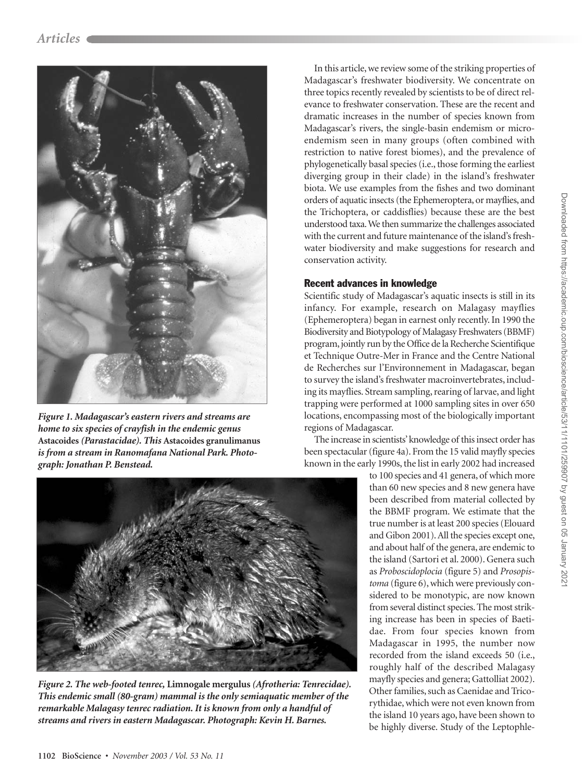

*Figure 1. Madagascar's eastern rivers and streams are home to six species of crayfish in the endemic genus*  **Astacoides** *(Parastacidae). This* **Astacoides granulimanus** *is from a stream in Ranomafana National Park. Photograph: Jonathan P. Benstead.*



*Figure 2. The web-footed tenrec,* **Limnogale mergulus** *(Afrotheria: Tenrecidae). This endemic small (80-gram) mammal is the only semiaquatic member of the remarkable Malagasy tenrec radiation. It is known from only a handful of streams and rivers in eastern Madagascar. Photograph: Kevin H. Barnes.*

In this article, we review some of the striking properties of Madagascar's freshwater biodiversity. We concentrate on three topics recently revealed by scientists to be of direct relevance to freshwater conservation. These are the recent and dramatic increases in the number of species known from Madagascar's rivers, the single-basin endemism or microendemism seen in many groups (often combined with restriction to native forest biomes), and the prevalence of phylogenetically basal species (i.e., those forming the earliest diverging group in their clade) in the island's freshwater biota. We use examples from the fishes and two dominant orders of aquatic insects (the Ephemeroptera, or mayflies, and the Trichoptera, or caddisflies) because these are the best understood taxa.We then summarize the challenges associated with the current and future maintenance of the island's freshwater biodiversity and make suggestions for research and conservation activity.

## Recent advances in knowledge

Scientific study of Madagascar's aquatic insects is still in its infancy. For example, research on Malagasy mayflies (Ephemeroptera) began in earnest only recently. In 1990 the Biodiversity and Biotypology of Malagasy Freshwaters (BBMF) program, jointly run by the Office de la Recherche Scientifique et Technique Outre-Mer in France and the Centre National de Recherches sur l'Environnement in Madagascar, began to survey the island's freshwater macroinvertebrates, including its mayflies. Stream sampling, rearing of larvae, and light trapping were performed at 1000 sampling sites in over 650 locations, encompassing most of the biologically important regions of Madagascar.

The increase in scientists' knowledge of this insect order has been spectacular (figure 4a). From the 15 valid mayfly species known in the early 1990s, the list in early 2002 had increased

to 100 species and 41 genera, of which more than 60 new species and 8 new genera have been described from material collected by the BBMF program. We estimate that the true number is at least 200 species (Elouard and Gibon 2001). All the species except one, and about half of the genera, are endemic to the island (Sartori et al. 2000). Genera such as *Proboscidoplocia* (figure 5) and *Prosopistoma* (figure 6), which were previously considered to be monotypic, are now known from several distinct species. The most striking increase has been in species of Baetidae. From four species known from Madagascar in 1995, the number now recorded from the island exceeds 50 (i.e., roughly half of the described Malagasy mayfly species and genera; Gattolliat 2002). Other families, such as Caenidae and Tricorythidae, which were not even known from the island 10 years ago, have been shown to be highly diverse. Study of the Leptophle-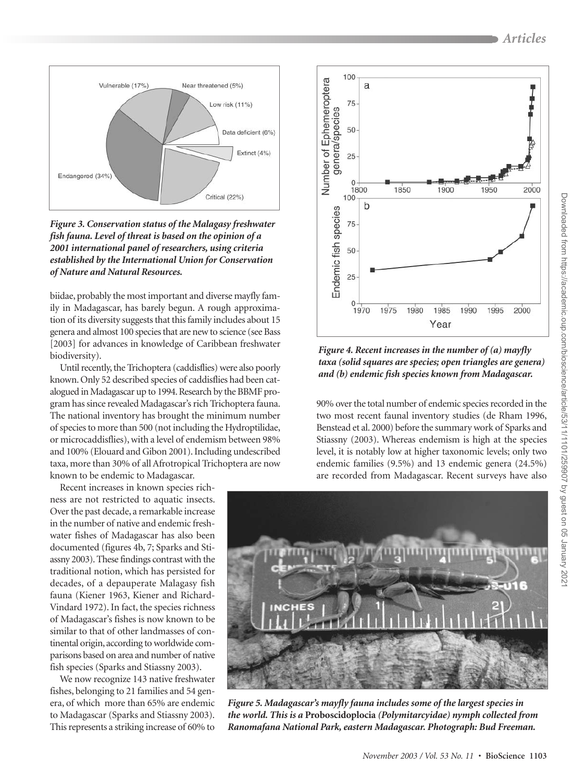

*Figure 3. Conservation status of the Malagasy freshwater fish fauna. Level of threat is based on the opinion of a 2001 international panel of researchers, using criteria established by the International Union for Conservation of Nature and Natural Resources.*

biidae, probably the most important and diverse mayfly family in Madagascar, has barely begun. A rough approximation of its diversity suggests that this family includes about 15 genera and almost 100 species that are new to science (see Bass [2003] for advances in knowledge of Caribbean freshwater biodiversity).

Until recently, the Trichoptera (caddisflies) were also poorly known. Only 52 described species of caddisflies had been catalogued in Madagascar up to 1994. Research by the BBMF program has since revealed Madagascar's rich Trichoptera fauna. The national inventory has brought the minimum number of species to more than 500 (not including the Hydroptilidae, or microcaddisflies), with a level of endemism between 98% and 100% (Elouard and Gibon 2001). Including undescribed taxa, more than 30% of all Afrotropical Trichoptera are now known to be endemic to Madagascar.

Recent increases in known species richness are not restricted to aquatic insects. Over the past decade, a remarkable increase in the number of native and endemic freshwater fishes of Madagascar has also been documented (figures 4b, 7; Sparks and Stiassny 2003). These findings contrast with the traditional notion, which has persisted for decades, of a depauperate Malagasy fish fauna (Kiener 1963, Kiener and Richard-Vindard 1972). In fact, the species richness of Madagascar's fishes is now known to be similar to that of other landmasses of continental origin, according to worldwide comparisons based on area and number of native fish species (Sparks and Stiassny 2003).

We now recognize 143 native freshwater fishes, belonging to 21 families and 54 genera, of which more than 65% are endemic to Madagascar (Sparks and Stiassny 2003). This represents a striking increase of 60% to



*Figure 4. Recent increases in the number of (a) mayfly taxa (solid squares are species; open triangles are genera) and (b) endemic fish species known from Madagascar.*

90% over the total number of endemic species recorded in the two most recent faunal inventory studies (de Rham 1996, Benstead et al. 2000) before the summary work of Sparks and Stiassny (2003). Whereas endemism is high at the species level, it is notably low at higher taxonomic levels; only two endemic families (9.5%) and 13 endemic genera (24.5%) are recorded from Madagascar. Recent surveys have also



*Figure 5. Madagascar's mayfly fauna includes some of the largest species in the world. This is a* **Proboscidoplocia** *(Polymitarcyidae) nymph collected from Ranomafana National Park, eastern Madagascar. Photograph: Bud Freeman.*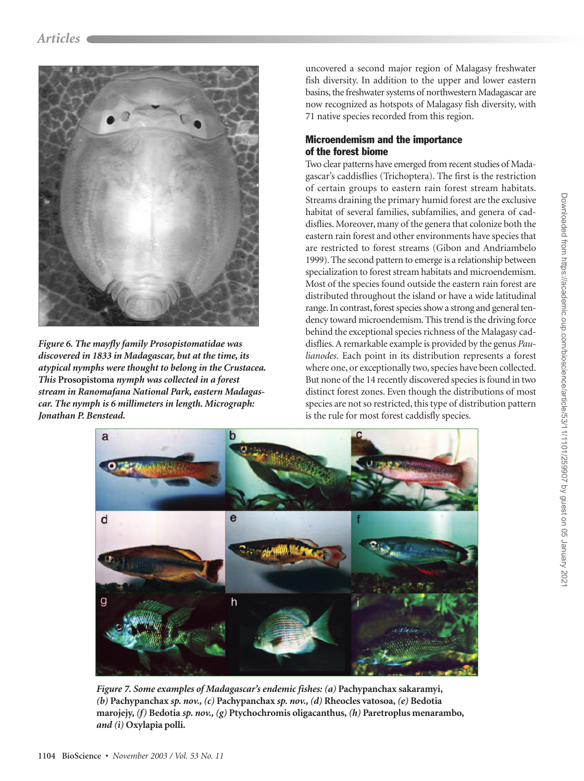

*Figure 6. The mayfly family Prosopistomatidae was discovered in 1833 in Madagascar, but at the time, its atypical nymphs were thought to belong in the Crustacea. This* **Prosopistoma** *nymph was collected in a forest stream in Ranomafana National Park, eastern Madagascar. The nymph is 6 millimeters in length. Micrograph: Jonathan P. Benstead.*

uncovered a second major region of Malagasy freshwater fish diversity. In addition to the upper and lower eastern basins, the freshwater systems of northwestern Madagascar are now recognized as hotspots of Malagasy fish diversity, with 71 native species recorded from this region.

## Microendemism and the importance of the forest biome

Two clear patterns have emerged from recent studies of Madagascar's caddisflies (Trichoptera). The first is the restriction of certain groups to eastern rain forest stream habitats. Streams draining the primary humid forest are the exclusive habitat of several families, subfamilies, and genera of caddisflies. Moreover, many of the genera that colonize both the eastern rain forest and other environments have species that are restricted to forest streams (Gibon and Andriambelo 1999). The second pattern to emerge is a relationship between specialization to forest stream habitats and microendemism. Most of the species found outside the eastern rain forest are distributed throughout the island or have a wide latitudinal range. In contrast, forest species show a strong and general tendency toward microendemism. This trend is the driving force behind the exceptional species richness of the Malagasy caddisflies. A remarkable example is provided by the genus *Paulianodes.* Each point in its distribution represents a forest where one, or exceptionally two, species have been collected. But none of the 14 recently discovered species is found in two distinct forest zones. Even though the distributions of most species are not so restricted, this type of distribution pattern is the rule for most forest caddisfly species.



*Figure 7. Some examples of Madagascar's endemic fishes: (a) Pachypanchax sakaramyi, (b)* **Pachypanchax** *sp. nov., (c)* **Pachypanchax** *sp. nov., (d)* **Rheocles vatosoa,** *(e)* **Bedotia marojejy,** *(f)* **Bedotia** *sp. nov., (g)* **Ptychochromis oligacanthus,** *(h)* **Paretroplus menarambo,** *and (i)* **Oxylapia polli.**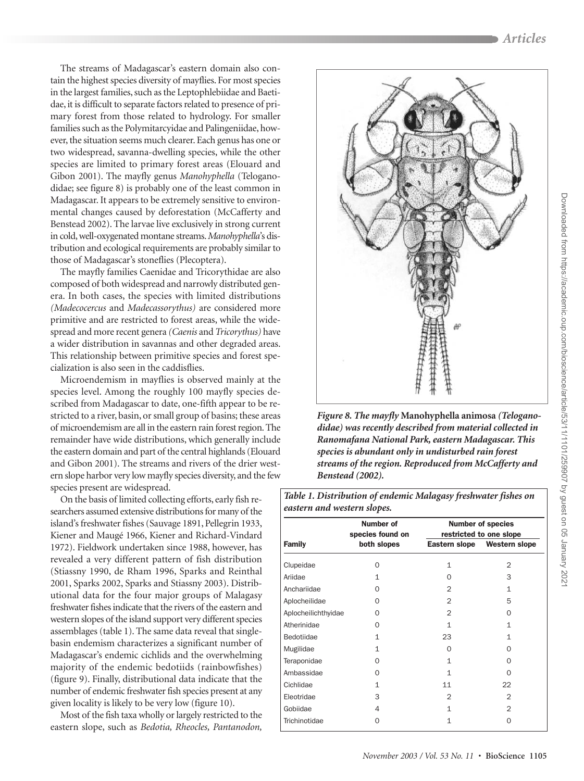The streams of Madagascar's eastern domain also contain the highest species diversity of mayflies. For most species in the largest families, such as the Leptophlebiidae and Baetidae, it is difficult to separate factors related to presence of primary forest from those related to hydrology. For smaller families such as the Polymitarcyidae and Palingeniidae, however, the situation seems much clearer. Each genus has one or two widespread, savanna-dwelling species, while the other species are limited to primary forest areas (Elouard and Gibon 2001). The mayfly genus *Manohyphella* (Teloganodidae; see figure 8) is probably one of the least common in Madagascar. It appears to be extremely sensitive to environmental changes caused by deforestation (McCafferty and Benstead 2002). The larvae live exclusively in strong current in cold, well-oxygenated montane streams.*Manohyphella'*s distribution and ecological requirements are probably similar to those of Madagascar's stoneflies (Plecoptera).

The mayfly families Caenidae and Tricorythidae are also composed of both widespread and narrowly distributed genera. In both cases, the species with limited distributions *(Madecocercus* and *Madecassorythus)* are considered more primitive and are restricted to forest areas, while the widespread and more recent genera *(Caenis* and *Tricorythus)* have a wider distribution in savannas and other degraded areas. This relationship between primitive species and forest specialization is also seen in the caddisflies.

Microendemism in mayflies is observed mainly at the species level. Among the roughly 100 mayfly species described from Madagascar to date, one-fifth appear to be restricted to a river, basin, or small group of basins; these areas of microendemism are all in the eastern rain forest region. The remainder have wide distributions, which generally include the eastern domain and part of the central highlands (Elouard and Gibon 2001). The streams and rivers of the drier western slope harbor very low mayfly species diversity, and the few species present are widespread.

On the basis of limited collecting efforts, early fish researchers assumed extensive distributions for many of the island's freshwater fishes (Sauvage 1891, Pellegrin 1933, Kiener and Maugé 1966, Kiener and Richard-Vindard 1972). Fieldwork undertaken since 1988, however, has revealed a very different pattern of fish distribution (Stiassny 1990, de Rham 1996, Sparks and Reinthal 2001, Sparks 2002, Sparks and Stiassny 2003). Distributional data for the four major groups of Malagasy freshwater fishes indicate that the rivers of the eastern and western slopes of the island support very different species assemblages (table 1). The same data reveal that singlebasin endemism characterizes a significant number of Madagascar's endemic cichlids and the overwhelming majority of the endemic bedotiids (rainbowfishes) (figure 9). Finally, distributional data indicate that the number of endemic freshwater fish species present at any given locality is likely to be very low (figure 10).

Most of the fish taxa wholly or largely restricted to the eastern slope, such as *Bedotia, Rheocles, Pantanodon,*



*Figure 8. The mayfly* **Manohyphella animosa** *(Teloganodidae) was recently described from material collected in Ranomafana National Park, eastern Madagascar. This species is abundant only in undisturbed rain forest streams of the region. Reproduced from McCafferty and Benstead (2002).*

|                     | Number of<br>species found on | <b>Number of species</b><br>restricted to one slope |                      |
|---------------------|-------------------------------|-----------------------------------------------------|----------------------|
| <b>Family</b>       | both slopes                   | Eastern slope                                       | <b>Western slope</b> |
| Clupeidae           | $\Omega$                      | $\mathbf{1}$                                        | 2                    |
| Ariidae             | $\mathbf{1}$                  | $\Omega$                                            | 3                    |
| Anchariidae         | $\Omega$                      | $\overline{2}$                                      | $\mathbf{1}$         |
| Aplocheilidae       | $\Omega$                      | $\overline{2}$                                      | 5                    |
| Aplocheilichthyidae | $\Omega$                      | $\overline{2}$                                      | $\Omega$             |
| Atherinidae         | $\Omega$                      | $\mathbf{1}$                                        | 1                    |
| Bedotiidae          | 1                             | 23                                                  | $\mathbf{1}$         |
| Mugilidae           | $\mathbf{1}$                  | $\Omega$                                            | $\Omega$             |
| Teraponidae         | $\Omega$                      | $\mathbf{1}$                                        | $\Omega$             |
| Ambassidae          | $\Omega$                      | $\mathbf{1}$                                        | $\Omega$             |
| Cichlidae           | $\mathbf{1}$                  | 11                                                  | 22                   |
| Eleotridae          | 3                             | $\overline{2}$                                      | $\overline{2}$       |
| Gobiidae            | 4                             | $\mathbf{1}$                                        | 2                    |
| Trichinotidae       | 0                             | 1                                                   | O                    |
|                     |                               |                                                     |                      |

*Table 1. Distribution of endemic Malagasy freshwater fishes on eastern and western slopes.*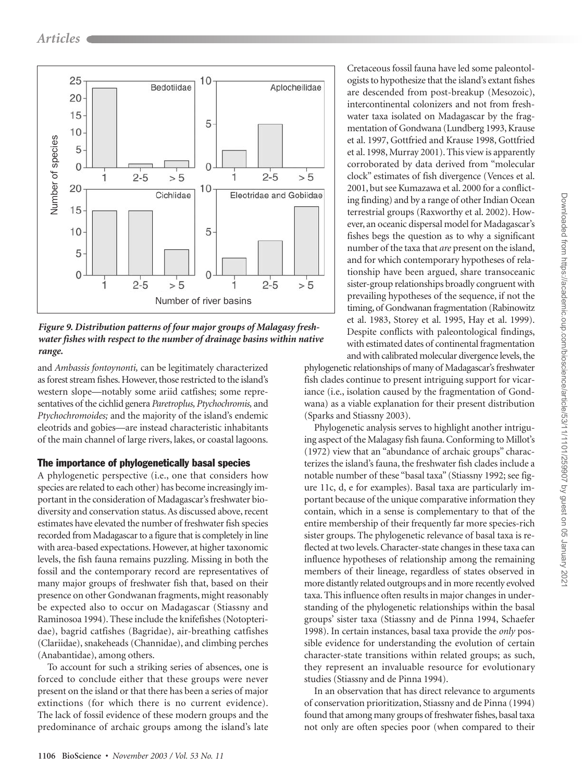

*Figure 9. Distribution patterns of four major groups of Malagasy freshwater fishes with respect to the number of drainage basins within native range.*

and *Ambassis fontoynonti,* can be legitimately characterized as forest stream fishes. However, those restricted to the island's western slope—notably some ariid catfishes; some representatives of the cichlid genera *Paretroplus, Ptychochromis,* and *Ptychochromoides;* and the majority of the island's endemic eleotrids and gobies—are instead characteristic inhabitants of the main channel of large rivers, lakes, or coastal lagoons.

#### The importance of phylogenetically basal species

A phylogenetic perspective (i.e., one that considers how species are related to each other) has become increasingly important in the consideration of Madagascar's freshwater biodiversity and conservation status. As discussed above, recent estimates have elevated the number of freshwater fish species recorded from Madagascar to a figure that is completely in line with area-based expectations. However, at higher taxonomic levels, the fish fauna remains puzzling. Missing in both the fossil and the contemporary record are representatives of many major groups of freshwater fish that, based on their presence on other Gondwanan fragments, might reasonably be expected also to occur on Madagascar (Stiassny and Raminosoa 1994). These include the knifefishes (Notopteridae), bagrid catfishes (Bagridae), air-breathing catfishes (Clariidae), snakeheads (Channidae), and climbing perches (Anabantidae), among others.

To account for such a striking series of absences, one is forced to conclude either that these groups were never present on the island or that there has been a series of major extinctions (for which there is no current evidence). The lack of fossil evidence of these modern groups and the predominance of archaic groups among the island's late

Cretaceous fossil fauna have led some paleontologists to hypothesize that the island's extant fishes are descended from post-breakup (Mesozoic), intercontinental colonizers and not from freshwater taxa isolated on Madagascar by the fragmentation of Gondwana (Lundberg 1993, Krause et al. 1997, Gottfried and Krause 1998, Gottfried et al. 1998, Murray 2001). This view is apparently corroborated by data derived from "molecular clock" estimates of fish divergence (Vences et al. 2001, but see Kumazawa et al. 2000 for a conflicting finding) and by a range of other Indian Ocean terrestrial groups (Raxworthy et al. 2002). However, an oceanic dispersal model for Madagascar's fishes begs the question as to why a significant number of the taxa that *are* present on the island, and for which contemporary hypotheses of relationship have been argued, share transoceanic sister-group relationships broadly congruent with prevailing hypotheses of the sequence, if not the timing, of Gondwanan fragmentation (Rabinowitz et al. 1983, Storey et al. 1995, Hay et al. 1999). Despite conflicts with paleontological findings, with estimated dates of continental fragmentation and with calibrated molecular divergence levels, the

phylogenetic relationships of many of Madagascar's freshwater fish clades continue to present intriguing support for vicariance (i.e., isolation caused by the fragmentation of Gondwana) as a viable explanation for their present distribution (Sparks and Stiassny 2003).

Phylogenetic analysis serves to highlight another intriguing aspect of the Malagasy fish fauna. Conforming to Millot's (1972) view that an "abundance of archaic groups" characterizes the island's fauna, the freshwater fish clades include a notable number of these "basal taxa" (Stiassny 1992; see figure 11c, d, e for examples). Basal taxa are particularly important because of the unique comparative information they contain, which in a sense is complementary to that of the entire membership of their frequently far more species-rich sister groups. The phylogenetic relevance of basal taxa is reflected at two levels. Character-state changes in these taxa can influence hypotheses of relationship among the remaining members of their lineage, regardless of states observed in more distantly related outgroups and in more recently evolved taxa. This influence often results in major changes in understanding of the phylogenetic relationships within the basal groups' sister taxa (Stiassny and de Pinna 1994, Schaefer 1998). In certain instances, basal taxa provide the *only* possible evidence for understanding the evolution of certain character-state transitions within related groups; as such, they represent an invaluable resource for evolutionary studies (Stiassny and de Pinna 1994).

In an observation that has direct relevance to arguments of conservation prioritization, Stiassny and de Pinna (1994) found that among many groups of freshwater fishes, basal taxa not only are often species poor (when compared to their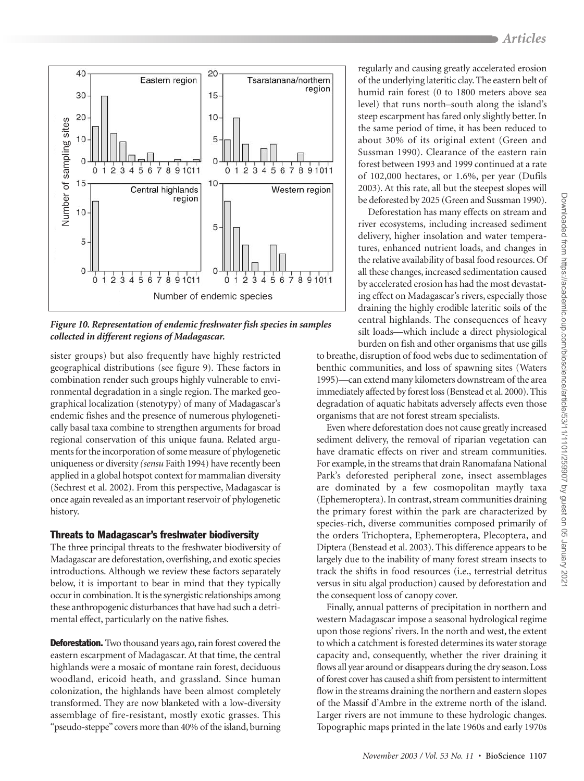# *Articles*



*Figure 10. Representation of endemic freshwater fish species in samples collected in different regions of Madagascar.*

sister groups) but also frequently have highly restricted geographical distributions (see figure 9). These factors in combination render such groups highly vulnerable to environmental degradation in a single region. The marked geographical localization (stenotypy) of many of Madagascar's endemic fishes and the presence of numerous phylogenetically basal taxa combine to strengthen arguments for broad regional conservation of this unique fauna. Related arguments for the incorporation of some measure of phylogenetic uniqueness or diversity *(sensu* Faith 1994) have recently been applied in a global hotspot context for mammalian diversity (Sechrest et al. 2002). From this perspective, Madagascar is once again revealed as an important reservoir of phylogenetic history.

#### Threats to Madagascar's freshwater biodiversity

The three principal threats to the freshwater biodiversity of Madagascar are deforestation, overfishing, and exotic species introductions. Although we review these factors separately below, it is important to bear in mind that they typically occur in combination. It is the synergistic relationships among these anthropogenic disturbances that have had such a detrimental effect, particularly on the native fishes.

**Deforestation.** Two thousand years ago, rain forest covered the eastern escarpment of Madagascar. At that time, the central highlands were a mosaic of montane rain forest, deciduous woodland, ericoid heath, and grassland. Since human colonization, the highlands have been almost completely transformed. They are now blanketed with a low-diversity assemblage of fire-resistant, mostly exotic grasses. This "pseudo-steppe" covers more than 40% of the island, burning regularly and causing greatly accelerated erosion of the underlying lateritic clay. The eastern belt of humid rain forest (0 to 1800 meters above sea level) that runs north–south along the island's steep escarpment has fared only slightly better. In the same period of time, it has been reduced to about 30% of its original extent (Green and Sussman 1990). Clearance of the eastern rain forest between 1993 and 1999 continued at a rate of 102,000 hectares, or 1.6%, per year (Dufils 2003). At this rate, all but the steepest slopes will be deforested by 2025 (Green and Sussman 1990).

Deforestation has many effects on stream and river ecosystems, including increased sediment delivery, higher insolation and water temperatures, enhanced nutrient loads, and changes in the relative availability of basal food resources. Of all these changes, increased sedimentation caused by accelerated erosion has had the most devastating effect on Madagascar's rivers, especially those draining the highly erodible lateritic soils of the central highlands. The consequences of heavy silt loads—which include a direct physiological burden on fish and other organisms that use gills

to breathe, disruption of food webs due to sedimentation of benthic communities, and loss of spawning sites (Waters 1995)—can extend many kilometers downstream of the area immediately affected by forest loss (Benstead et al. 2000). This degradation of aquatic habitats adversely affects even those organisms that are not forest stream specialists.

Even where deforestation does not cause greatly increased sediment delivery, the removal of riparian vegetation can have dramatic effects on river and stream communities. For example, in the streams that drain Ranomafana National Park's deforested peripheral zone, insect assemblages are dominated by a few cosmopolitan mayfly taxa (Ephemeroptera). In contrast, stream communities draining the primary forest within the park are characterized by species-rich, diverse communities composed primarily of the orders Trichoptera, Ephemeroptera, Plecoptera, and Diptera (Benstead et al. 2003). This difference appears to be largely due to the inability of many forest stream insects to track the shifts in food resources (i.e., terrestrial detritus versus in situ algal production) caused by deforestation and the consequent loss of canopy cover.

Finally, annual patterns of precipitation in northern and western Madagascar impose a seasonal hydrological regime upon those regions' rivers. In the north and west, the extent to which a catchment is forested determines its water storage capacity and, consequently, whether the river draining it flows all year around or disappears during the dry season. Loss of forest cover has caused a shift from persistent to intermittent flow in the streams draining the northern and eastern slopes of the Massif d'Ambre in the extreme north of the island. Larger rivers are not immune to these hydrologic changes. Topographic maps printed in the late 1960s and early 1970s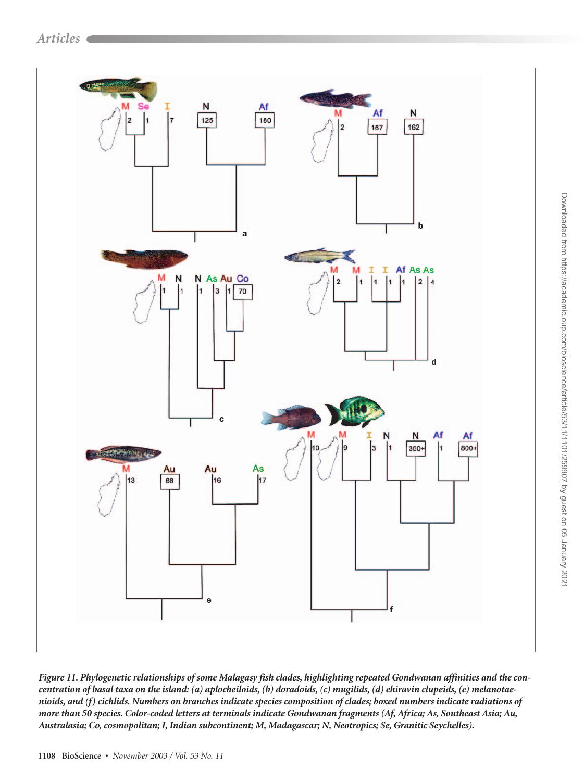

*Figure 11. Phylogenetic relationships of some Malagasy fish clades, highlighting repeated Gondwanan affinities and the concentration of basal taxa on the island: (a) aplocheiloids, (b) doradoids, (c) mugilids, (d) ehiravin clupeids, (e) melanotaenioids, and (f) cichlids. Numbers on branches indicate species composition of clades; boxed numbers indicate radiations of more than 50 species. Color-coded letters at terminals indicate Gondwanan fragments (Af, Africa; As, Southeast Asia; Au, Australasia; Co, cosmopolitan; I, Indian subcontinent; M, Madagascar; N, Neotropics; Se, Granitic Seychelles).*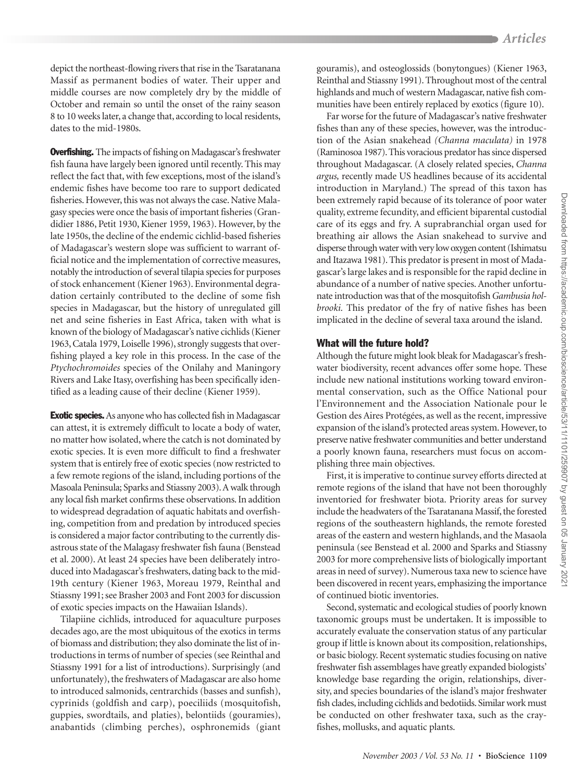depict the northeast-flowing rivers that rise in the Tsaratanana Massif as permanent bodies of water. Their upper and middle courses are now completely dry by the middle of October and remain so until the onset of the rainy season 8 to 10 weeks later, a change that, according to local residents, dates to the mid-1980s.

**Overfishing.** The impacts of fishing on Madagascar's freshwater fish fauna have largely been ignored until recently. This may reflect the fact that, with few exceptions, most of the island's endemic fishes have become too rare to support dedicated fisheries. However, this was not always the case. Native Malagasy species were once the basis of important fisheries (Grandidier 1886, Petit 1930, Kiener 1959, 1963). However, by the late 1950s, the decline of the endemic cichlid-based fisheries of Madagascar's western slope was sufficient to warrant official notice and the implementation of corrective measures, notably the introduction of several tilapia species for purposes of stock enhancement (Kiener 1963). Environmental degradation certainly contributed to the decline of some fish species in Madagascar, but the history of unregulated gill net and seine fisheries in East Africa, taken with what is known of the biology of Madagascar's native cichlids (Kiener 1963, Catala 1979, Loiselle 1996), strongly suggests that overfishing played a key role in this process. In the case of the *Ptychochromoides* species of the Onilahy and Maningory Rivers and Lake Itasy, overfishing has been specifically identified as a leading cause of their decline (Kiener 1959).

**Exotic species.** As anyone who has collected fish in Madagascar can attest, it is extremely difficult to locate a body of water, no matter how isolated, where the catch is not dominated by exotic species. It is even more difficult to find a freshwater system that is entirely free of exotic species (now restricted to a few remote regions of the island, including portions of the Masoala Peninsula; Sparks and Stiassny 2003).A walk through any local fish market confirms these observations. In addition to widespread degradation of aquatic habitats and overfishing, competition from and predation by introduced species is considered a major factor contributing to the currently disastrous state of the Malagasy freshwater fish fauna (Benstead et al. 2000). At least 24 species have been deliberately introduced into Madagascar's freshwaters, dating back to the mid-19th century (Kiener 1963, Moreau 1979, Reinthal and Stiassny 1991; see Brasher 2003 and Font 2003 for discussion of exotic species impacts on the Hawaiian Islands).

Tilapiine cichlids, introduced for aquaculture purposes decades ago, are the most ubiquitous of the exotics in terms of biomass and distribution; they also dominate the list of introductions in terms of number of species (see Reinthal and Stiassny 1991 for a list of introductions). Surprisingly (and unfortunately), the freshwaters of Madagascar are also home to introduced salmonids, centrarchids (basses and sunfish), cyprinids (goldfish and carp), poeciliids (mosquitofish, guppies, swordtails, and platies), belontiids (gouramies), anabantids (climbing perches), osphronemids (giant

gouramis), and osteoglossids (bonytongues) (Kiener 1963, Reinthal and Stiassny 1991). Throughout most of the central highlands and much of western Madagascar, native fish communities have been entirely replaced by exotics (figure 10).

Far worse for the future of Madagascar's native freshwater fishes than any of these species, however, was the introduction of the Asian snakehead *(Channa maculata)* in 1978 (Raminosoa 1987). This voracious predator has since dispersed throughout Madagascar. (A closely related species, *Channa argus,* recently made US headlines because of its accidental introduction in Maryland.) The spread of this taxon has been extremely rapid because of its tolerance of poor water quality, extreme fecundity, and efficient biparental custodial care of its eggs and fry. A suprabranchial organ used for breathing air allows the Asian snakehead to survive and disperse through water with very low oxygen content (Ishimatsu and Itazawa 1981). This predator is present in most of Madagascar's large lakes and is responsible for the rapid decline in abundance of a number of native species. Another unfortunate introduction was that of the mosquitofish *Gambusia holbrooki.* This predator of the fry of native fishes has been implicated in the decline of several taxa around the island.

#### What will the future hold?

Although the future might look bleak for Madagascar's freshwater biodiversity, recent advances offer some hope. These include new national institutions working toward environmental conservation, such as the Office National pour l'Environnement and the Association Nationale pour le Gestion des Aires Protégées, as well as the recent, impressive expansion of the island's protected areas system. However, to preserve native freshwater communities and better understand a poorly known fauna, researchers must focus on accomplishing three main objectives.

First, it is imperative to continue survey efforts directed at remote regions of the island that have not been thoroughly inventoried for freshwater biota. Priority areas for survey include the headwaters of the Tsaratanana Massif, the forested regions of the southeastern highlands, the remote forested areas of the eastern and western highlands, and the Masaola peninsula (see Benstead et al. 2000 and Sparks and Stiassny 2003 for more comprehensive lists of biologically important areas in need of survey). Numerous taxa new to science have been discovered in recent years, emphasizing the importance of continued biotic inventories.

Second, systematic and ecological studies of poorly known taxonomic groups must be undertaken. It is impossible to accurately evaluate the conservation status of any particular group if little is known about its composition, relationships, or basic biology. Recent systematic studies focusing on native freshwater fish assemblages have greatly expanded biologists' knowledge base regarding the origin, relationships, diversity, and species boundaries of the island's major freshwater fish clades, including cichlids and bedotiids. Similar work must be conducted on other freshwater taxa, such as the crayfishes, mollusks, and aquatic plants.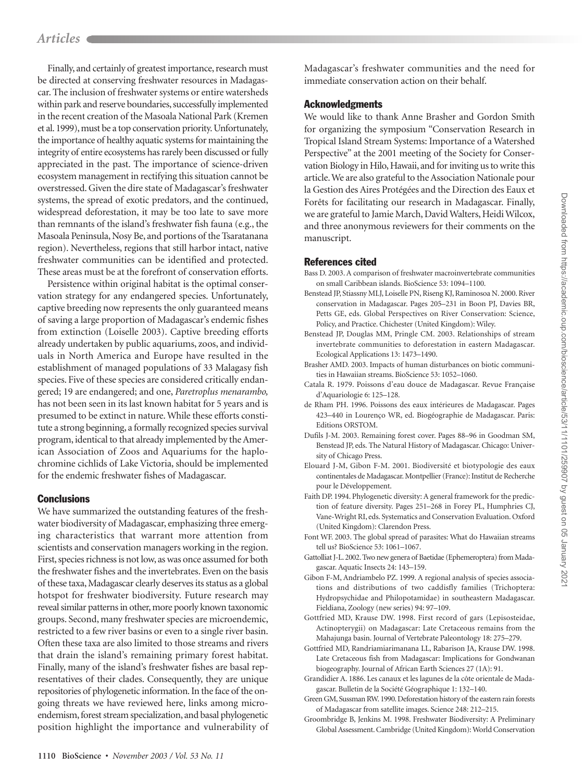Finally, and certainly of greatest importance, research must be directed at conserving freshwater resources in Madagascar. The inclusion of freshwater systems or entire watersheds within park and reserve boundaries, successfully implemented in the recent creation of the Masoala National Park (Kremen et al. 1999), must be a top conservation priority. Unfortunately, the importance of healthy aquatic systems for maintaining the integrity of entire ecosystems has rarely been discussed or fully appreciated in the past. The importance of science-driven ecosystem management in rectifying this situation cannot be overstressed. Given the dire state of Madagascar's freshwater systems, the spread of exotic predators, and the continued, widespread deforestation, it may be too late to save more than remnants of the island's freshwater fish fauna (e.g., the Masoala Peninsula, Nosy Be, and portions of the Tsaratanana region). Nevertheless, regions that still harbor intact, native freshwater communities can be identified and protected. These areas must be at the forefront of conservation efforts.

Persistence within original habitat is the optimal conservation strategy for any endangered species. Unfortunately, captive breeding now represents the only guaranteed means of saving a large proportion of Madagascar's endemic fishes from extinction (Loiselle 2003). Captive breeding efforts already undertaken by public aquariums, zoos, and individuals in North America and Europe have resulted in the establishment of managed populations of 33 Malagasy fish species. Five of these species are considered critically endangered; 19 are endangered; and one, *Paretroplus menarambo,* has not been seen in its last known habitat for 5 years and is presumed to be extinct in nature. While these efforts constitute a strong beginning, a formally recognized species survival program, identical to that already implemented by the American Association of Zoos and Aquariums for the haplochromine cichlids of Lake Victoria, should be implemented for the endemic freshwater fishes of Madagascar.

#### **Conclusions**

We have summarized the outstanding features of the freshwater biodiversity of Madagascar, emphasizing three emerging characteristics that warrant more attention from scientists and conservation managers working in the region. First, species richness is not low, as was once assumed for both the freshwater fishes and the invertebrates. Even on the basis of these taxa, Madagascar clearly deserves its status as a global hotspot for freshwater biodiversity. Future research may reveal similar patterns in other, more poorly known taxonomic groups. Second, many freshwater species are microendemic, restricted to a few river basins or even to a single river basin. Often these taxa are also limited to those streams and rivers that drain the island's remaining primary forest habitat. Finally, many of the island's freshwater fishes are basal representatives of their clades. Consequently, they are unique repositories of phylogenetic information. In the face of the ongoing threats we have reviewed here, links among microendemism, forest stream specialization, and basal phylogenetic position highlight the importance and vulnerability of Madagascar's freshwater communities and the need for immediate conservation action on their behalf.

# Acknowledgments

We would like to thank Anne Brasher and Gordon Smith for organizing the symposium "Conservation Research in Tropical Island Stream Systems: Importance of a Watershed Perspective" at the 2001 meeting of the Society for Conservation Biology in Hilo, Hawaii, and for inviting us to write this article. We are also grateful to the Association Nationale pour la Gestion des Aires Protégées and the Direction des Eaux et Forêts for facilitating our research in Madagascar. Finally, we are grateful to Jamie March, David Walters, Heidi Wilcox, and three anonymous reviewers for their comments on the manuscript.

## References cited

- Bass D. 2003. A comparison of freshwater macroinvertebrate communities on small Caribbean islands. BioScience 53: 1094–1100.
- Benstead JP, Stiassny MLJ, Loiselle PN, Riseng KJ, Raminosoa N. 2000. River conservation in Madagascar. Pages 205–231 in Boon PJ, Davies BR, Petts GE, eds. Global Perspectives on River Conservation: Science, Policy, and Practice. Chichester (United Kingdom): Wiley.
- Benstead JP, Douglas MM, Pringle CM. 2003. Relationships of stream invertebrate communities to deforestation in eastern Madagascar. Ecological Applications 13: 1473–1490.
- Brasher AMD. 2003. Impacts of human disturbances on biotic communities in Hawaiian streams. BioScience 53: 1052–1060.
- Catala R. 1979. Poissons d'eau douce de Madagascar. Revue Française d'Aquariologie 6: 125–128.
- de Rham PH. 1996. Poissons des eaux intérieures de Madagascar. Pages 423–440 in Lourenço WR, ed. Biogéographie de Madagascar. Paris: Editions ORSTOM.
- Dufils J-M. 2003. Remaining forest cover. Pages 88–96 in Goodman SM, Benstead JP, eds. The Natural History of Madagascar. Chicago: University of Chicago Press.
- Elouard J-M, Gibon F-M. 2001. Biodiversité et biotypologie des eaux continentales de Madagascar. Montpellier (France): Institut de Recherche pour le Développement.
- Faith DP. 1994. Phylogenetic diversity: A general framework for the prediction of feature diversity. Pages 251–268 in Forey PL, Humphries CJ, Vane-Wright RI, eds. Systematics and Conservation Evaluation. Oxford (United Kingdom): Clarendon Press.
- Font WF. 2003. The global spread of parasites: What do Hawaiian streams tell us? BioScience 53: 1061–1067.
- Gattolliat J-L. 2002. Two new genera of Baetidae (Ephemeroptera) from Madagascar. Aquatic Insects 24: 143–159.
- Gibon F-M, Andriambelo PZ. 1999. A regional analysis of species associations and distributions of two caddisfly families (Trichoptera: Hydropsychidae and Philopotamidae) in southeastern Madagascar. Fieldiana, Zoology (new series) 94: 97–109.
- Gottfried MD, Krause DW. 1998. First record of gars (Lepisosteidae, Actinopterygii) on Madagascar: Late Cretaceous remains from the Mahajunga basin. Journal of Vertebrate Paleontology 18: 275–279.
- Gottfried MD, Randriamiarimanana LL, Rabarison JA, Krause DW. 1998. Late Cretaceous fish from Madagascar: Implications for Gondwanan biogeography. Journal of African Earth Sciences 27 (1A): 91.
- Grandidier A. 1886. Les canaux et les lagunes de la côte orientale de Madagascar. Bulletin de la Société Géographique 1: 132–140.
- Green GM, Sussman RW. 1990. Deforestation history of the eastern rain forests of Madagascar from satellite images. Science 248: 212–215.
- Groombridge B, Jenkins M. 1998. Freshwater Biodiversity: A Preliminary Global Assessment. Cambridge (United Kingdom): World Conservation